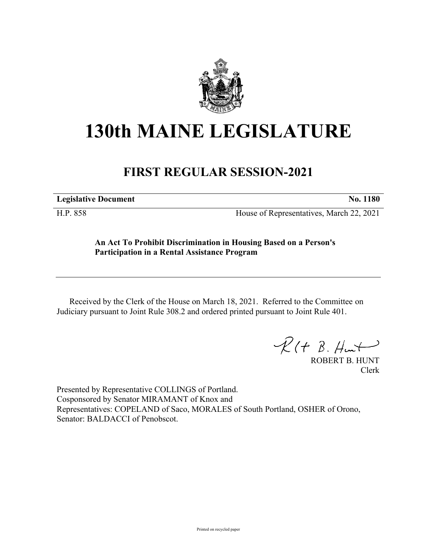

## **130th MAINE LEGISLATURE**

## **FIRST REGULAR SESSION-2021**

**Legislative Document No. 1180**

H.P. 858 House of Representatives, March 22, 2021

## **An Act To Prohibit Discrimination in Housing Based on a Person's Participation in a Rental Assistance Program**

Received by the Clerk of the House on March 18, 2021. Referred to the Committee on Judiciary pursuant to Joint Rule 308.2 and ordered printed pursuant to Joint Rule 401.

 $\mathcal{R}(t \; \mathcal{B}, \#m)$ 

ROBERT B. HUNT Clerk

Presented by Representative COLLINGS of Portland. Cosponsored by Senator MIRAMANT of Knox and Representatives: COPELAND of Saco, MORALES of South Portland, OSHER of Orono, Senator: BALDACCI of Penobscot.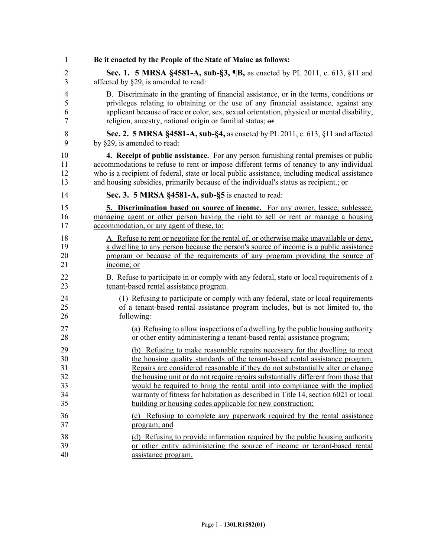| $\mathbf{1}$   | Be it enacted by the People of the State of Maine as follows:                                 |
|----------------|-----------------------------------------------------------------------------------------------|
| $\overline{2}$ | <b>Sec. 1. 5 MRSA §4581-A, sub-§3, ¶B, as enacted by PL 2011, c. 613, §11 and</b>             |
| 3              | affected by §29, is amended to read:                                                          |
| 4              | B. Discriminate in the granting of financial assistance, or in the terms, conditions or       |
| 5              | privileges relating to obtaining or the use of any financial assistance, against any          |
| 6              | applicant because of race or color, sex, sexual orientation, physical or mental disability,   |
| $\tau$         | religion, ancestry, national origin or familial status; or                                    |
| $\,$ $\,$      | Sec. 2. 5 MRSA §4581-A, sub-§4, as enacted by PL 2011, c. 613, §11 and affected               |
| 9              | by §29, is amended to read:                                                                   |
| 10             | 4. Receipt of public assistance. For any person furnishing rental premises or public          |
| 11             | accommodations to refuse to rent or impose different terms of tenancy to any individual       |
| 12             | who is a recipient of federal, state or local public assistance, including medical assistance |
| 13             | and housing subsidies, primarily because of the individual's status as recipient-; or         |
| 14             | Sec. 3. 5 MRSA §4581-A, sub-§5 is enacted to read:                                            |
| 15             | 5. Discrimination based on source of income. For any owner, lessee, sublessee,                |
| 16             | managing agent or other person having the right to sell or rent or manage a housing           |
| 17             | accommodation, or any agent of these, to:                                                     |
| 18             | A. Refuse to rent or negotiate for the rental of, or otherwise make unavailable or deny,      |
| 19             | a dwelling to any person because the person's source of income is a public assistance         |
| 20             | program or because of the requirements of any program providing the source of                 |
| 21             | income; or                                                                                    |
| 22             | B. Refuse to participate in or comply with any federal, state or local requirements of a      |
| 23             | tenant-based rental assistance program.                                                       |
| 24             | (1) Refusing to participate or comply with any federal, state or local requirements           |
| 25             | of a tenant-based rental assistance program includes, but is not limited to, the              |
| 26             | following:                                                                                    |
| 27             | (a) Refusing to allow inspections of a dwelling by the public housing authority               |
| 28             | or other entity administering a tenant-based rental assistance program;                       |
| 29             | (b) Refusing to make reasonable repairs necessary for the dwelling to meet                    |
| 30             | the housing quality standards of the tenant-based rental assistance program.                  |
| 31             | Repairs are considered reasonable if they do not substantially alter or change                |
| 32             | the housing unit or do not require repairs substantially different from those that            |
| 33             | would be required to bring the rental until into compliance with the implied                  |
| 34             | warranty of fitness for habitation as described in Title 14, section 6021 or local            |
| 35             | building or housing codes applicable for new construction;                                    |
| 36             | (c) Refusing to complete any paperwork required by the rental assistance                      |
| 37             | program; and                                                                                  |
| 38             | (d) Refusing to provide information required by the public housing authority                  |
| 39             | or other entity administering the source of income or tenant-based rental                     |
| 40             | assistance program.                                                                           |